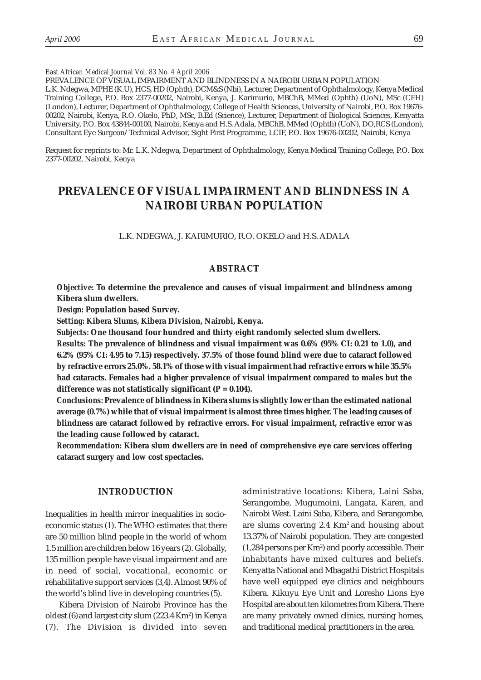*East African Medical Journal Vol. 83 No. 4 April 2006*

PREVALENCE OF VISUAL IMPAIRMENT AND BLINDNESS IN A NAIROBI URBAN POPULATION L.K. Ndegwa, MPHE (K.U), HCS, HD (Ophth), DCM&S (Nbi), Lecturer, Department of Ophthalmology, Kenya Medical Training College, P.O. Box 2377-00202, Nairobi, Kenya, J. Karimurio, MBChB, MMed (Ophth) (UoN), MSc (CEH) (London), Lecturer, Department of Ophthalmology, College of Health Sciences, University of Nairobi, P.O. Box 19676- 00202, Nairobi, Kenya, R.O. Okelo, PhD, MSc, B.Ed (Science), Lecturer, Department of Biological Sciences, Kenyatta University, P.O. Box 43844-00100, Nairobi, Kenya and H.S. Adala, MBChB, MMed (Ophth) (UoN), DO,RCS (London), Consultant Eye Surgeon/Technical Advisor, Sight First Programme, LCIF, P.O. Box 19676-00202, Nairobi, Kenya

Request for reprints to: Mr. L.K. Ndegwa, Department of Ophthalmology, Kenya Medical Training College, P.O. Box 2377-00202, Nairobi, Kenya

# **PREVALENCE OF VISUAL IMPAIRMENT AND BLINDNESS IN A NAIROBI URBAN POPULATION**

L.K. NDEGWA, J. KARIMURIO, R.O. OKELO and H.S. ADALA

## **ABSTRACT**

*Objective:* **To determine the prevalence and causes of visual impairment and blindness among Kibera slum dwellers.**

*Design:* **Population based Survey.**

*Setting:* **Kibera Slums, Kibera Division, Nairobi, Kenya.**

*Subjects:* **One thousand four hundred and thirty eight randomly selected slum dwellers.**

*Results:* **The prevalence of blindness and visual impairment was 0.6% (95% CI: 0.21 to 1.0), and 6.2% (95% CI: 4.95 to 7.15) respectively. 37.5% of those found blind were due to cataract followed by refractive errors 25.0%. 58.1% of those with visual impairment had refractive errors while 35.5% had cataracts. Females had a higher prevalence of visual impairment compared to males but the difference was not statistically significant (P = 0.104).**

*Conclusions:* **Prevalence of blindness in Kibera slums is slightly lower than the estimated national average (0.7%) while that of visual impairment is almost three times higher. The leading causes of blindness are cataract followed by refractive errors. For visual impairment, refractive error was the leading cause followed by cataract.**

*Recommendation:* **Kibera slum dwellers are in need of comprehensive eye care services offering cataract surgery and low cost spectacles.**

# **INTRODUCTION**

Inequalities in health mirror inequalities in socioeconomic status (1). The WHO estimates that there are 50 million blind people in the world of whom 1.5 million are children below 16 years (2). Globally, 135 million people have visual impairment and are in need of social, vocational, economic or rehabilitative support services (3,4). Almost 90% of the world's blind live in developing countries (5).

Kibera Division of Nairobi Province has the oldest (6) and largest city slum (223.4 Km²) in Kenya (7). The Division is divided into seven administrative locations: Kibera, Laini Saba, Serangombe, Mugumoini, Langata, Karen, and Nairobi West. Laini Saba, Kibera, and Serangombe, are slums covering 2.4 Km2 and housing about 13.37% of Nairobi population. They are congested (1,284 persons per Km2 ) and poorly accessible. Their inhabitants have mixed cultures and beliefs. Kenyatta National and Mbagathi District Hospitals have well equipped eye clinics and neighbours Kibera. Kikuyu Eye Unit and Loresho Lions Eye Hospital are about ten kilometres from Kibera. There are many privately owned clinics, nursing homes, and traditional medical practitioners in the area.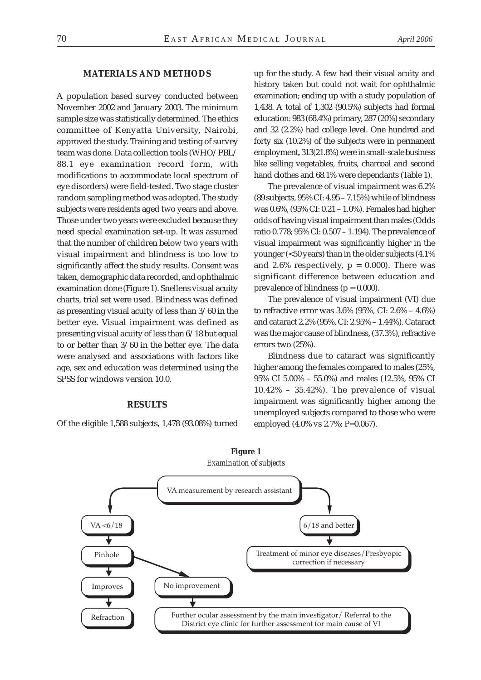# **MATERIALS AND METHODS**

A population based survey conducted between November 2002 and January 2003. The minimum sample size was statistically determined. The ethics committee of Kenyatta University, Nairobi, approved the study. Training and testing of survey team was done. Data collection tools (WHO/PBL/ 88.1 eye examination record form, with modifications to accommodate local spectrum of eye disorders) were field-tested. Two stage cluster random sampling method was adopted. The study subjects were residents aged two years and above. Those under two years were excluded because they need special examination set-up. It was assumed that the number of children below two years with visual impairment and blindness is too low to significantly affect the study results. Consent was taken, demographic data recorded, and ophthalmic examination done (Figure 1). Snellens visual acuity charts, trial set were used. Blindness was defined as presenting visual acuity of less than 3/60 in the better eye. Visual impairment was defined as presenting visual acuity of less than 6/18 but equal to or better than 3/60 in the better eye. The data were analysed and associations with factors like age, sex and education was determined using the SPSS for windows version 10.0.

#### **RESULTS**

Of the eligible 1,588 subjects, 1,478 (93.08%) turned

up for the study. A few had their visual acuity and history taken but could not wait for ophthalmic examination; ending up with a study population of 1,438. A total of 1,302 (90.5%) subjects had formal education: 983 (68.4%) primary, 287 (20%) secondary and 32 (2.2%) had college level. One hundred and forty six (10.2%) of the subjects were in permanent employment, 313(21.8%) were in small-scale business like selling vegetables, fruits, charcoal and second hand clothes and 68.1% were dependants (Table 1).

The prevalence of visual impairment was 6.2% (89 subjects, 95% CI: 4.95 – 7.15%) while of blindness was 0.6%, (95% CI: 0.21 – 1.0%). Females had higher odds of having visual impairment than males (Odds ratio 0.778; 95% Cl: 0.507 – 1.194). The prevalence of visual impairment was significantly higher in the younger (<50 years) than in the older subjects (4.1% and 2.6% respectively,  $p = 0.000$ . There was significant difference between education and prevalence of blindness ( $p = 0.000$ ).

The prevalence of visual impairment (VI) due to refractive error was 3.6% (95%, CI: 2.6% – 4.6%) and cataract 2.2% (95%, CI: 2.95% – 1.44%). Cataract was the major cause of blindness, (37.3%), refractive errors two (25%).

Blindness due to cataract was significantly higher among the females compared to males (25%, 95% CI 5.00% – 55.0%) and males (12.5%, 95% CI 10.42% – 35.42%). The prevalence of visual impairment was significantly higher among the unemployed subjects compared to those who were employed (4.0% vs 2.7%; P=0.067).

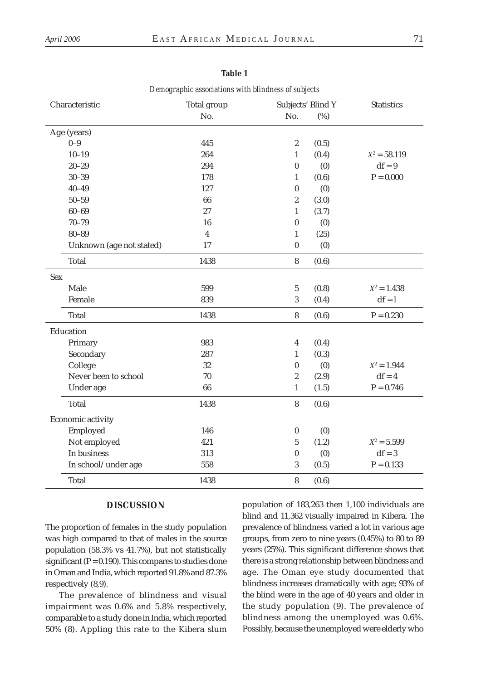|                          | <b>Total group</b>      | Subjects' Blind Y |       |                   |
|--------------------------|-------------------------|-------------------|-------|-------------------|
| Characteristic           | No.                     | No.               | (%)   | <b>Statistics</b> |
|                          |                         |                   |       |                   |
| Age (years)              |                         |                   |       |                   |
| $0 - 9$                  | 445                     | $\boldsymbol{2}$  | (0.5) |                   |
| $10 - 19$                | 264                     | $\mathbf{1}$      | (0.4) | $X^2 = 58.119$    |
| $20 - 29$                | 294                     | $\bf{0}$          | (0)   | $df = 9$          |
| $30 - 39$                | 178                     | $\mathbf{1}$      | (0.6) | $P = 0.000$       |
| $40 - 49$                | 127                     | $\bf{0}$          | (0)   |                   |
| $50 - 59$                | 66                      | $\sqrt{2}$        | (3.0) |                   |
| $60 - 69$                | 27                      | $\mathbf{1}$      | (3.7) |                   |
| $70 - 79$                | 16                      | $\bf{0}$          | (0)   |                   |
| $80 - 89$                | $\overline{\mathbf{4}}$ | $\mathbf{1}$      | (25)  |                   |
| Unknown (age not stated) | 17                      | $\boldsymbol{0}$  | (0)   |                   |
| <b>Total</b>             | 1438                    | $\bf 8$           | (0.6) |                   |
| <b>Sex</b>               |                         |                   |       |                   |
| Male                     | 599                     | $\sqrt{5}$        | (0.8) | $X^2 = 1.438$     |
| Female                   | 839                     | $\mathbf{3}$      | (0.4) | $df = 1$          |
| <b>Total</b>             | 1438                    | $\bf 8$           | (0.6) | $P = 0.230$       |
| Education                |                         |                   |       |                   |
| Primary                  | 983                     | $\overline{4}$    | (0.4) |                   |
| Secondary                | 287                     | $\mathbf{1}$      | (0.3) |                   |
| College                  | 32                      | $\boldsymbol{0}$  | (0)   | $X^2 = 1.944$     |
| Never been to school     | $70\,$                  | $\sqrt{2}$        | (2.9) | $df = 4$          |
| Under age                | 66                      | $\mathbf{1}$      | (1.5) | $P = 0.746$       |
| <b>Total</b>             | 1438                    | $\boldsymbol{8}$  | (0.6) |                   |
| Economic activity        |                         |                   |       |                   |
| Employed                 | 146                     | $\pmb{0}$         | (0)   |                   |
| Not employed             | 421                     | $\bf 5$           | (1.2) | $X^2 = 5.599$     |
| In business              | 313                     | $\boldsymbol{0}$  | (0)   | $df = 3$          |
| In school/under age      | 558                     | $\mathbf{3}$      | (0.5) | $P = 0.133$       |
| <b>Total</b>             | 1438                    | 8                 | (0.6) |                   |

# **Table 1**

*Demographic associations with blindness of subjects*

# **DISCUSSION**

The proportion of females in the study population was high compared to that of males in the source population (58.3% vs 41.7%), but not statistically significant ( $P = 0.190$ ). This compares to studies done in Oman and India, which reported 91.8% and 87.3% respectively (8,9).

The prevalence of blindness and visual impairment was 0.6% and 5.8% respectively, comparable to a study done in India, which reported 50% (8). Appling this rate to the Kibera slum population of 183,263 then 1,100 individuals are blind and 11,362 visually impaired in Kibera. The prevalence of blindness varied a lot in various age groups, from zero to nine years (0.45%) to 80 to 89 years (25%). This significant difference shows that there is a strong relationship between blindness and age. The Oman eye study documented that blindness increases dramatically with age; 93% of the blind were in the age of 40 years and older in the study population (9). The prevalence of blindness among the unemployed was 0.6%. Possibly, because the unemployed were elderly who